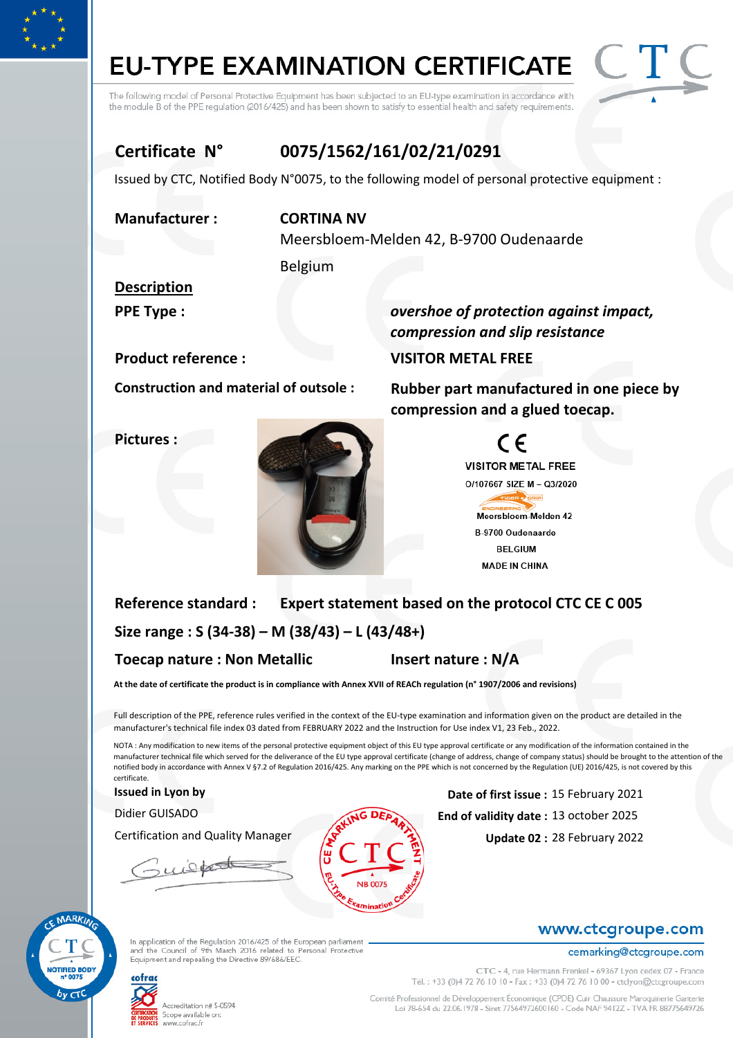## **EU-TYPE EXAMINATION CERTIFICATE**

The following model of Personal Protective Equipment has been subjected to an EU-type examination in accordance with the module B of the PPE regulation (2016/425) and has been shown to satisfy to essential health and safety requirements.



### Certificate N° 0075/1562/161/02/21/0291

Issued by CTC, Notified Body N°0075, to the following model of personal protective equipment :

#### Manufacturer : CORTINA NV

Meersbloem-Melden 42, B-9700 Oudenaarde

Belgium

### Description

PPE Type : **Example 2** overshoe of protection against impact,

Pictures :



compression and slip resistance Product reference : VISITOR METAL FREE

Construction and material of outsole : Rubber part manufactured in one piece by compression and a glued toecap.



#### Reference standard : Size range : S (34-38) – M (38/43) – L (43/48+) Insert nature : N/A Expert statement based on the protocol CTC CE C 005 Toecap nature : Non Metallic

At the date of certificate the product is in compliance with Annex XVII of REACh regulation (n° 1907/2006 and revisions)

Full description of the PPE, reference rules verified in the context of the EU-type examination and information given on the product are detailed in the manufacturer's technical file index 03 dated from FEBRUARY 2022 and the Instruction for Use index V1, 23 Feb., 2022.

NOTA : Any modification to new items of the personal protective equipment object of this EU type approval certificate or any modification of the information contained in the manufacturer technical file which served for the deliverance of the EU type approval certificate (change of address, change of company status) should be brought to the attention of the notified body in accordance with Annex V §7.2 of Regulation 2016/425. Any marking on the PPE which is not concerned by the Regulation (UE) 2016/425, is not covered by this certificate.

Certification and Quality Manager

wist



Issued in Lyon by 15 February 2021 Didier GUISADO **End of validity date** : 13 october 2025

Update 02: 28 February 2022



# cofrac

Accreditation n# 5-0594 Scope available on: www.cofrac.fr

In application of the Regulation 2016/425 of the European parliament<br>and the Council of 9th March 2016 related to Personal Protective Equipment and repealing the Directive 89/686/EEC.

cemarking@ctcgroupe.com CTC - 4, rue Hermann Frenkel - 69367 Lyon cedex 07 - France Tél.: +33 (0)4 72 76 10 10 - Fax: +33 (0)4 72 76 10 00 - ctclyon@ctcgroupe.com

www.ctcgroupe.com

Comité Professionnel de Développement Économique (CPDE) Cuir Chaussure Maroquinerie Ganterie Loi 78-654 du 22.06.1978 - Siret 77564972600160 - Code NAF 9412Z - TVA FR 88775649726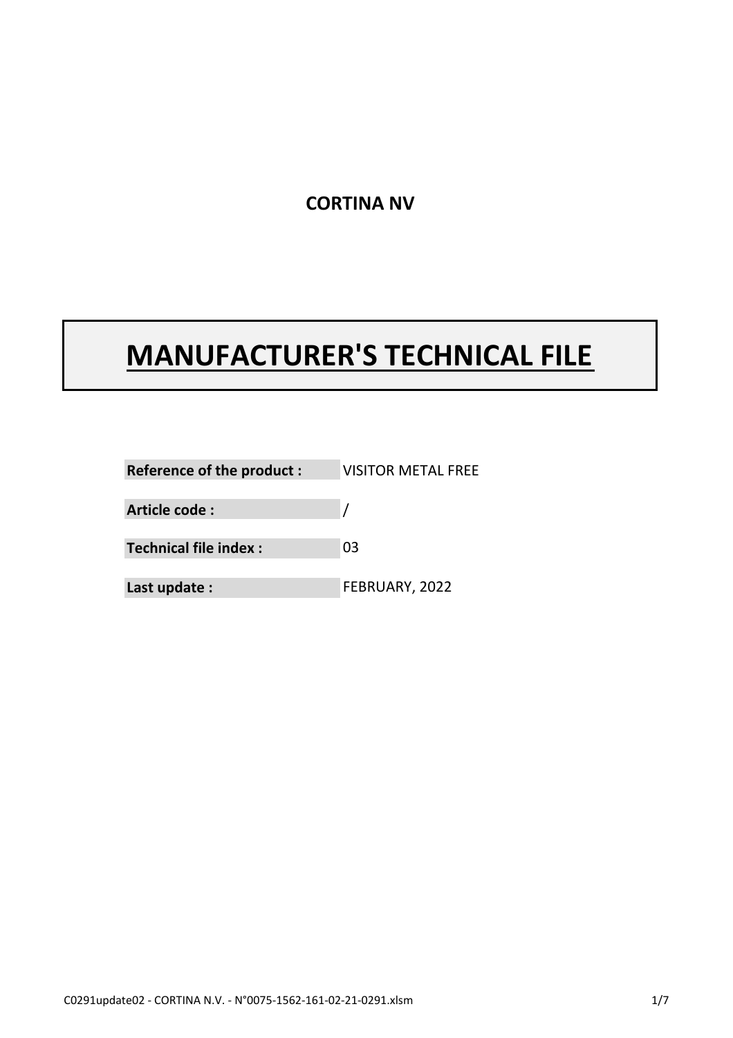### CORTINA NV

## MANUFACTURER'S TECHNICAL FILE

VISITOR METAL FREE Last update : 03 Reference of the product : Technical file index : FEBRUARY, 2022 Article code :  $\sqrt{2}$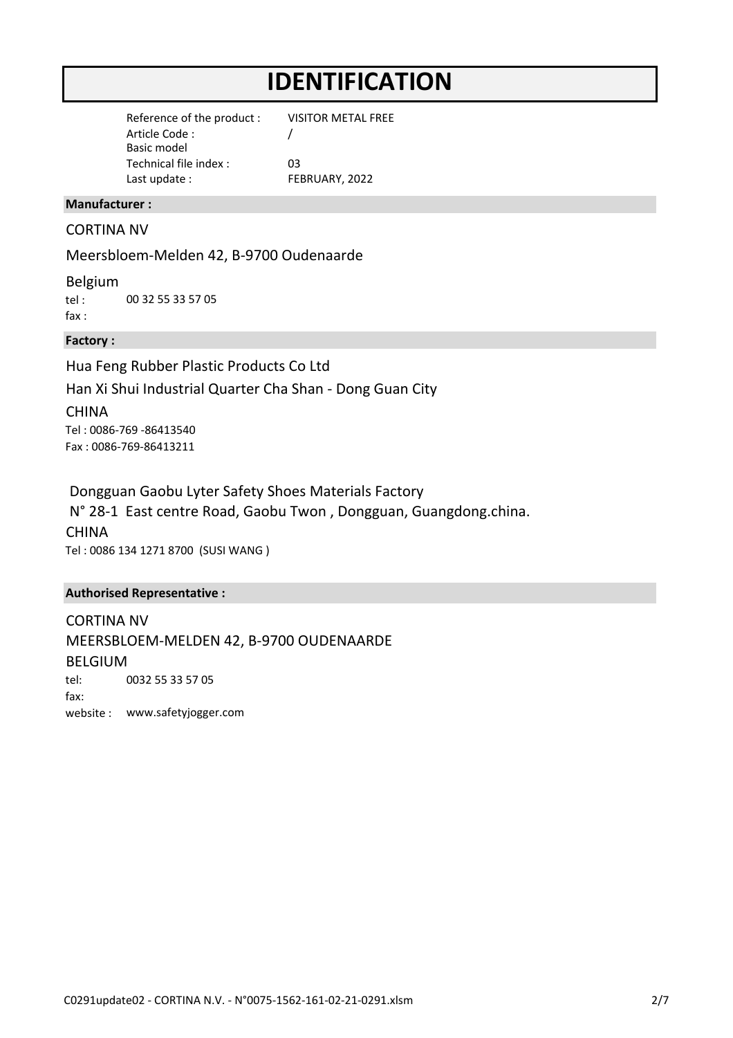### IDENTIFICATION

Article Code : Basic model Technical file index : Last update : Reference of the product : FEBRUARY, 2022 03 VISITOR METAL FREE /

#### Manufacturer :

#### CORTINA NV

Meersbloem-Melden 42, B-9700 Oudenaarde

tel : fax : 00 32 55 33 57 05 Belgium

#### Factory :

Hua Feng Rubber Plastic Products Co Ltd Han Xi Shui Industrial Quarter Cha Shan - Dong Guan City

**CHINA** Tel : 0086-769 -86413540 Fax : 0086-769-86413211

Tel : 0086 134 1271 8700 (SUSI WANG ) Dongguan Gaobu Lyter Safety Shoes Materials Factory **CHINA** N° 28-1 East centre Road, Gaobu Twon , Dongguan, Guangdong.china.

#### Authorised Representative :

tel: fax: website : www.safetyjogger.com CORTINA NV MEERSBLOEM-MELDEN 42, B-9700 OUDENAARDE BELGIUM 0032 55 33 57 05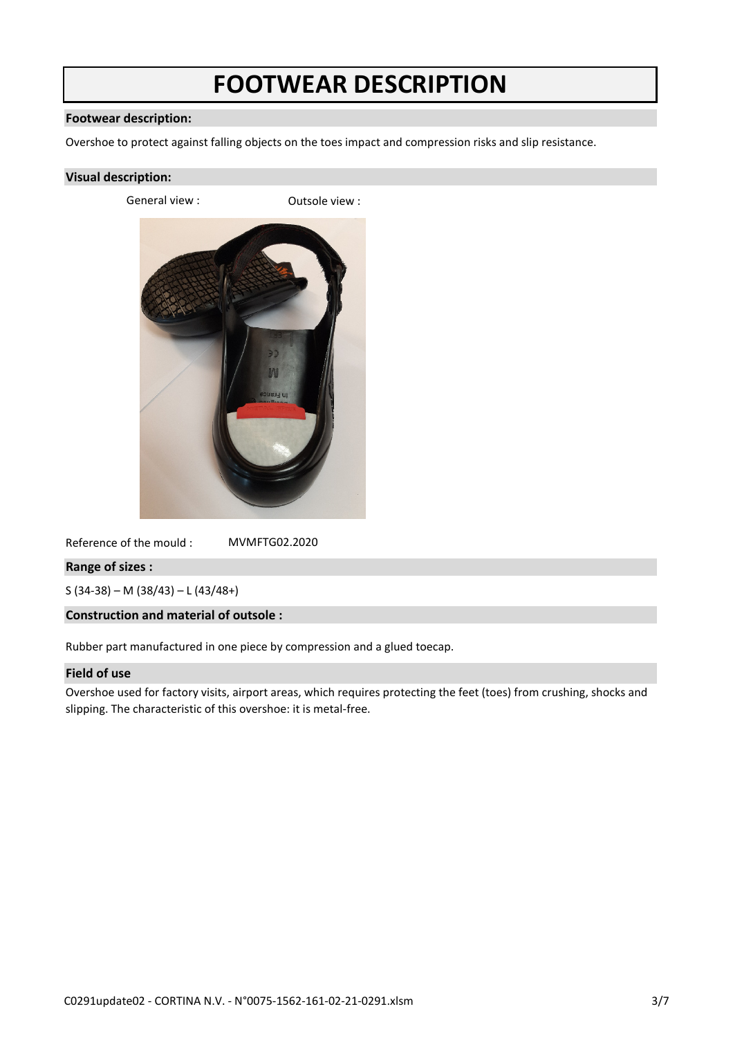### FOOTWEAR DESCRIPTION

#### Footwear description:

Overshoe to protect against falling objects on the toes impact and compression risks and slip resistance.

#### Visual description:

General view : Cassic Cutsole view :



Reference of the mould : MVMFTG02.2020

#### Range of sizes :

S (34-38) – M (38/43) – L (43/48+)

#### Construction and material of outsole :

Rubber part manufactured in one piece by compression and a glued toecap.

#### Field of use

Overshoe used for factory visits, airport areas, which requires protecting the feet (toes) from crushing, shocks and slipping. The characteristic of this overshoe: it is metal-free.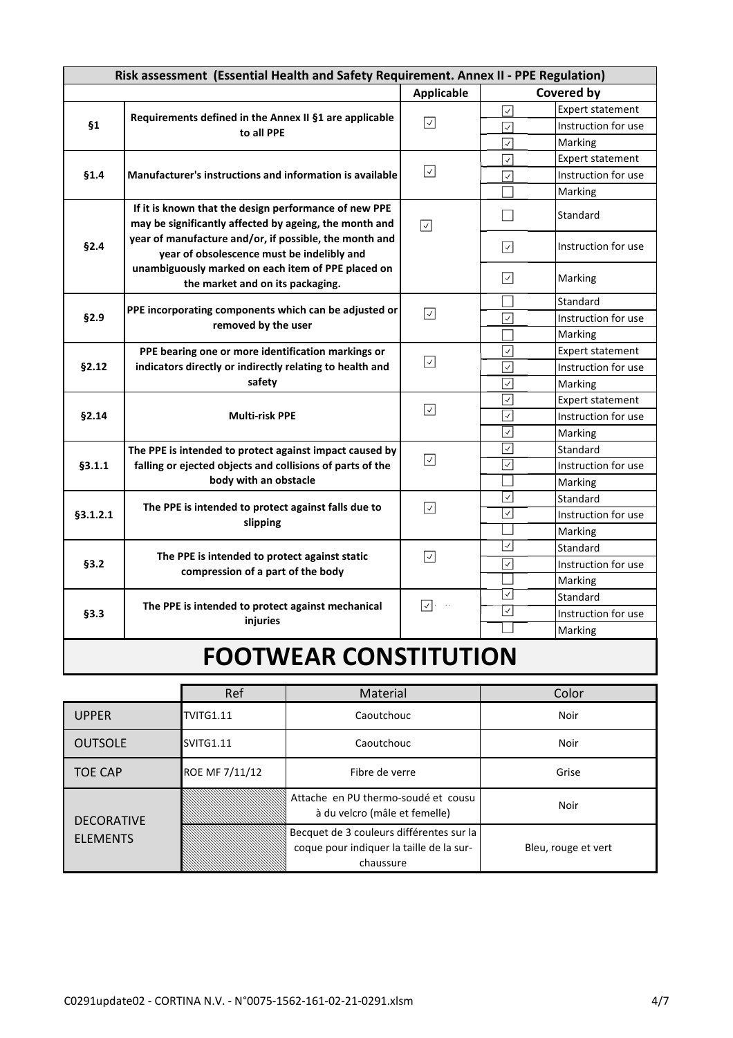| Risk assessment (Essential Health and Safety Requirement. Annex II - PPE Regulation) |                                                                                                                                                                                                                                                                                                                   |                                  |                                          |                         |  |  |
|--------------------------------------------------------------------------------------|-------------------------------------------------------------------------------------------------------------------------------------------------------------------------------------------------------------------------------------------------------------------------------------------------------------------|----------------------------------|------------------------------------------|-------------------------|--|--|
|                                                                                      |                                                                                                                                                                                                                                                                                                                   | <b>Applicable</b>                | <b>Covered by</b>                        |                         |  |  |
|                                                                                      | Requirements defined in the Annex II §1 are applicable<br>to all PPE                                                                                                                                                                                                                                              | $\boxed{\checkmark}$             | $\checkmark$                             | <b>Expert statement</b> |  |  |
| §1                                                                                   |                                                                                                                                                                                                                                                                                                                   |                                  | $\overline{\checkmark}$                  | Instruction for use     |  |  |
|                                                                                      |                                                                                                                                                                                                                                                                                                                   |                                  | $\overline{\checkmark}$                  | Marking                 |  |  |
|                                                                                      | <b>Manufacturer's instructions and information is available</b>                                                                                                                                                                                                                                                   | ☑                                | $\checkmark$                             | <b>Expert statement</b> |  |  |
| §1.4                                                                                 |                                                                                                                                                                                                                                                                                                                   |                                  | $\overline{\checkmark}$                  | Instruction for use     |  |  |
|                                                                                      |                                                                                                                                                                                                                                                                                                                   |                                  |                                          | Marking                 |  |  |
| §2.4                                                                                 | If it is known that the design performance of new PPE<br>may be significantly affected by ageing, the month and<br>year of manufacture and/or, if possible, the month and<br>year of obsolescence must be indelibly and<br>unambiguously marked on each item of PPE placed on<br>the market and on its packaging. | $\boxed{\mathcal{S}}$            |                                          | Standard                |  |  |
|                                                                                      |                                                                                                                                                                                                                                                                                                                   |                                  | $\vert \vee \vert$                       | Instruction for use     |  |  |
|                                                                                      |                                                                                                                                                                                                                                                                                                                   |                                  | $ \hspace{.06cm}\sqrt{ } \hspace{.06cm}$ | Marking                 |  |  |
|                                                                                      | PPE incorporating components which can be adjusted or<br>removed by the user                                                                                                                                                                                                                                      |                                  |                                          | Standard                |  |  |
| §2.9                                                                                 |                                                                                                                                                                                                                                                                                                                   | $\sqrt{}$                        | $\overline{\checkmark}$                  | Instruction for use     |  |  |
|                                                                                      |                                                                                                                                                                                                                                                                                                                   |                                  |                                          | Marking                 |  |  |
|                                                                                      | PPE bearing one or more identification markings or<br>indicators directly or indirectly relating to health and<br>safety                                                                                                                                                                                          |                                  | $\overline{\checkmark}$                  | <b>Expert statement</b> |  |  |
| §2.12                                                                                |                                                                                                                                                                                                                                                                                                                   | ☑                                | $\overline{\mathcal{L}}$                 | Instruction for use     |  |  |
|                                                                                      |                                                                                                                                                                                                                                                                                                                   |                                  | $\checkmark$                             | Marking                 |  |  |
|                                                                                      | <b>Multi-risk PPE</b>                                                                                                                                                                                                                                                                                             | $\boxed{\checkmark}$             | $\checkmark$                             | <b>Expert statement</b> |  |  |
| §2.14                                                                                |                                                                                                                                                                                                                                                                                                                   |                                  | $\checkmark$                             | Instruction for use     |  |  |
|                                                                                      |                                                                                                                                                                                                                                                                                                                   |                                  | $\overline{\checkmark}$                  | Marking                 |  |  |
|                                                                                      | The PPE is intended to protect against impact caused by<br>falling or ejected objects and collisions of parts of the<br>body with an obstacle                                                                                                                                                                     | $\boxed{\checkmark}$             | $\checkmark$                             | Standard                |  |  |
| §3.1.1                                                                               |                                                                                                                                                                                                                                                                                                                   |                                  | $\checkmark$                             | Instruction for use     |  |  |
|                                                                                      |                                                                                                                                                                                                                                                                                                                   |                                  |                                          | Marking                 |  |  |
|                                                                                      | The PPE is intended to protect against falls due to<br>slipping                                                                                                                                                                                                                                                   | $\boxed{\mathcal{S}}$            | $\vee$                                   | Standard                |  |  |
| §3.1.2.1                                                                             |                                                                                                                                                                                                                                                                                                                   |                                  | $\checkmark$                             | Instruction for use     |  |  |
|                                                                                      |                                                                                                                                                                                                                                                                                                                   |                                  |                                          | Marking                 |  |  |
|                                                                                      |                                                                                                                                                                                                                                                                                                                   | $\sqrt{}$                        | $\checkmark$                             | Standard                |  |  |
| §3.2                                                                                 | The PPE is intended to protect against static<br>compression of a part of the body                                                                                                                                                                                                                                |                                  | $\overline{\checkmark}$                  | Instruction for use     |  |  |
|                                                                                      |                                                                                                                                                                                                                                                                                                                   |                                  |                                          | Marking                 |  |  |
| §3.3                                                                                 | The PPE is intended to protect against mechanical<br>injuries                                                                                                                                                                                                                                                     | $\boxed{\checkmark}$<br>$\sim$ . | $\checkmark$                             | Standard                |  |  |
|                                                                                      |                                                                                                                                                                                                                                                                                                                   |                                  | ☑                                        | Instruction for use     |  |  |
|                                                                                      |                                                                                                                                                                                                                                                                                                                   |                                  |                                          | Marking                 |  |  |
|                                                                                      |                                                                                                                                                                                                                                                                                                                   |                                  |                                          |                         |  |  |

### FOOTWEAR CONSTITUTION

|                           | Ref            | Material                                                                                          | Color               |
|---------------------------|----------------|---------------------------------------------------------------------------------------------------|---------------------|
| <b>UPPER</b><br>TVITG1.11 |                | Caoutchouc                                                                                        | <b>Noir</b>         |
| <b>OUTSOLE</b>            | SVITG1.11      | Caoutchouc                                                                                        | <b>Noir</b>         |
| <b>TOE CAP</b>            | ROE MF 7/11/12 | Fibre de verre                                                                                    | Grise               |
| <b>DECORATIVE</b>         |                | Attache en PU thermo-soudé et cousu<br>à du velcro (mâle et femelle)                              | Noir                |
| <b>ELEMENTS</b>           |                | Becquet de 3 couleurs différentes sur la<br>coque pour indiquer la taille de la sur-<br>chaussure | Bleu, rouge et vert |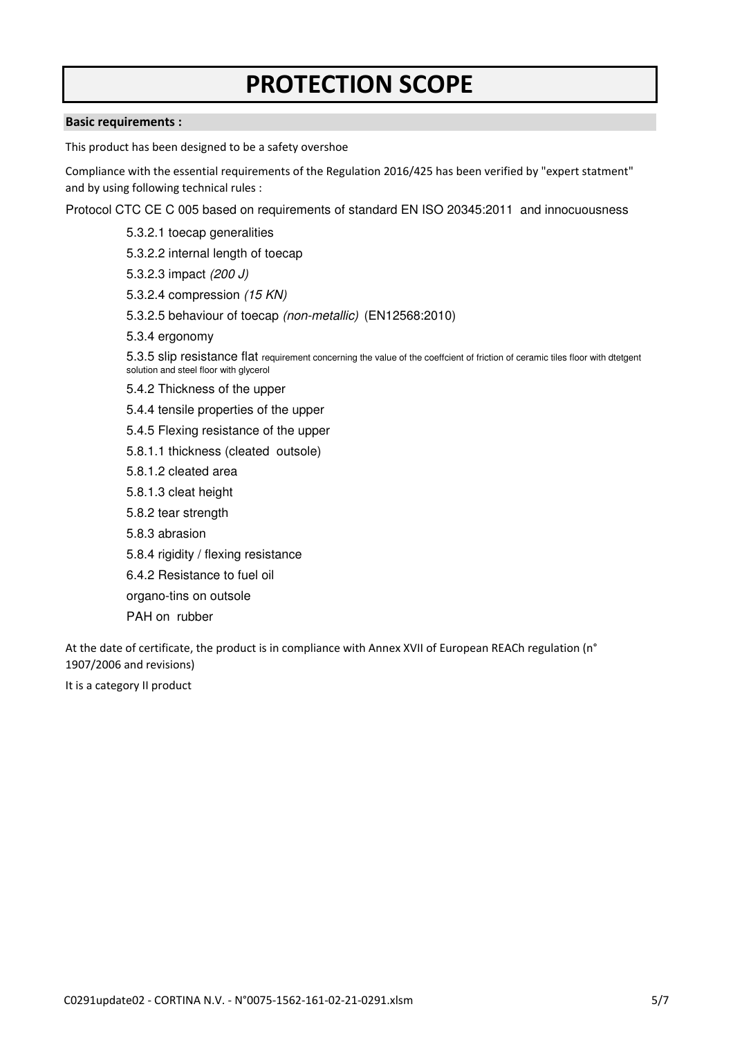## PROTECTION SCOPE

#### Basic requirements :

This product has been designed to be a safety overshoe

Compliance with the essential requirements of the Regulation 2016/425 has been verified by "expert statment" and by using following technical rules :

Protocol CTC CE C 005 based on requirements of standard EN ISO 20345:2011 and innocuousness

- 5.3.2.1 toecap generalities
- 5.3.2.2 internal length of toecap
- 5.3.2.3 impact (200 J)
- 5.3.2.4 compression (15 KN)
- 5.3.2.5 behaviour of toecap (non-metallic) (EN12568:2010)
- 5.3.4 ergonomy

5.3.5 slip resistance flat requirement concerning the value of the coeffcient of friction of ceramic tiles floor with dtetgent solution and steel floor with glycerol

- 5.4.2 Thickness of the upper
- 5.4.4 tensile properties of the upper
- 5.4.5 Flexing resistance of the upper
- 5.8.1.1 thickness (cleated outsole)
- 5.8.1.2 cleated area
- 5.8.1.3 cleat height
- 5.8.2 tear strength
- 5.8.3 abrasion
- 5.8.4 rigidity / flexing resistance
- 6.4.2 Resistance to fuel oil
- organo-tins on outsole
- PAH on rubber

At the date of certificate, the product is in compliance with Annex XVII of European REACh regulation (n° 1907/2006 and revisions)

It is a category II product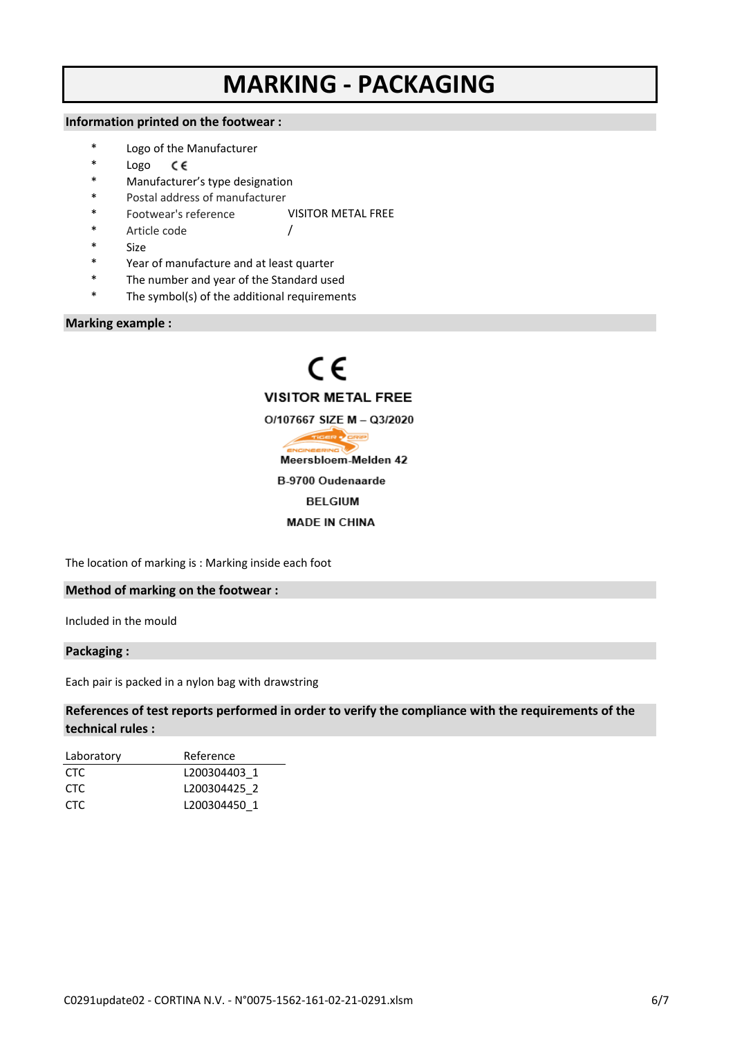### MARKING - PACKAGING

#### Information printed on the footwear :

- \* Logo of the Manufacturer
- \* Logo C€
- Manufacturer's type designation
- Postal address of manufacturer
- Footwear's reference VISITOR METAL FREE

/

- Article code
	- Size
- Year of manufacture and at least quarter
- The number and year of the Standard used
- The symbol(s) of the additional requirements

#### Marking example :



The location of marking is : Marking inside each foot

#### Method of marking on the footwear :

Included in the mould

#### Packaging :

Each pair is packed in a nylon bag with drawstring

#### References of test reports performed in order to verify the compliance with the requirements of the technical rules :

| Laboratory | Reference    |
|------------|--------------|
| CTC.       | L200304403 1 |
| CTC.       | L200304425 2 |
| CTC.       | L200304450 1 |